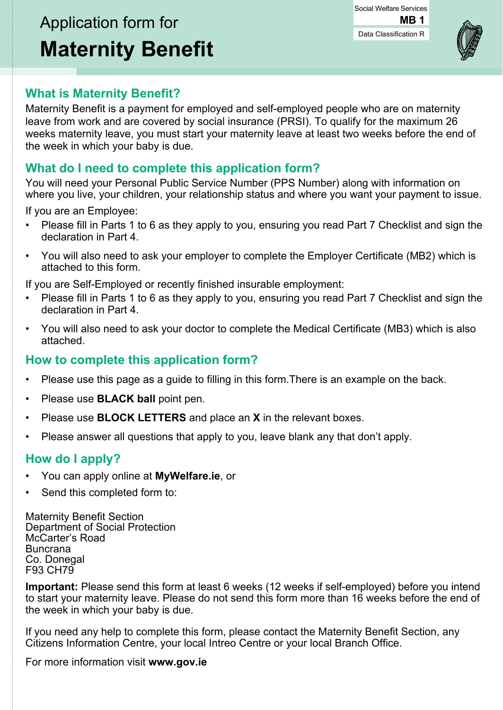#### Data Classification R Social Welfare Services **MB 1**



## **What is Maternity Benefit?**

Maternity Benefit is a payment for employed and self-employed people who are on maternity leave from work and are covered by social insurance (PRSI). To qualify for the maximum 26 weeks maternity leave, you must start your maternity leave at least two weeks before the end of the week in which your baby is due.

## **What do I need to complete this application form?**

You will need your Personal Public Service Number (PPS Number) along with information on where you live, your children, your relationship status and where you want your payment to issue.

If you are an Employee:

- Please fill in Parts 1 to 6 as they apply to you, ensuring you read Part 7 Checklist and sign the declaration in Part 4.
- You will also need to ask your employer to complete the Employer Certificate (MB2) which is attached to this form.

If you are Self-Employed or recently finished insurable employment:

- Please fill in Parts 1 to 6 as they apply to you, ensuring you read Part 7 Checklist and sign the declaration in Part 4.
- You will also need to ask your doctor to complete the Medical Certificate (MB3) which is also attached.

## **How to complete this application form?**

- Please use this page as a guide to filling in this form.There is an example on the back.
- Please use **BLACK ball** point pen.
- Please use **BLOCK LETTERS** and place an **X** in the relevant boxes.
- Please answer all questions that apply to you, leave blank any that don't apply.

## **How do I apply?**

- You can apply online at **MyWelfare.ie**, or
- Send this completed form to:

Maternity Benefit Section Department of Social Protection McCarter's Road Buncrana Co. Donegal F93 CH79

**Important:** Please send this form at least 6 weeks (12 weeks if self-employed) before you intend to start your maternity leave. Please do not send this form more than 16 weeks before the end of the week in which your baby is due.

If you need any help to complete this form, please contact the Maternity Benefit Section, any Citizens Information Centre, your local Intreo Centre or your local Branch Office.

For more information visit **www.gov.ie**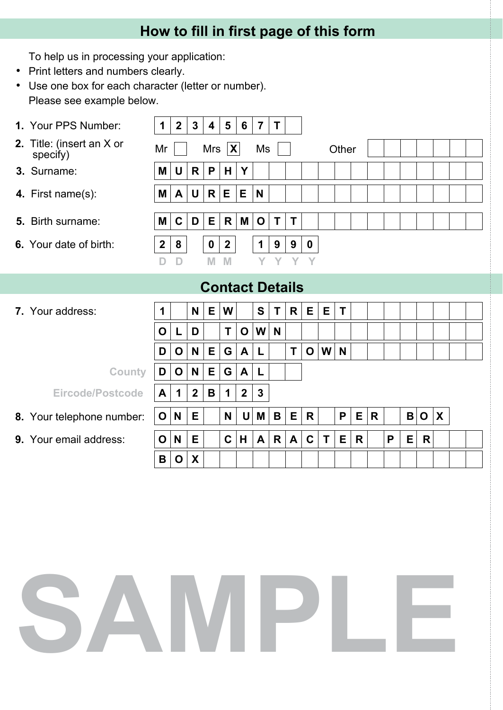# **How to fill in first page of this form**

To help us in processing your application:

- Print letters and numbers clearly.
- Use one box for each character (letter or number). Please see example below.

| 1. Your PPS Number:                   | 1            | $\mathbf{2}$ | 3                | 4   | 5                | 6            | $\overline{7}$ | T            |   |             |    |       |   |   |   |              |             |   |  |  |
|---------------------------------------|--------------|--------------|------------------|-----|------------------|--------------|----------------|--------------|---|-------------|----|-------|---|---|---|--------------|-------------|---|--|--|
| 2. Title: (insert an X or<br>specify) | Mr           |              |                  | Mrs | $ {\bf X} $      |              | Ms             |              |   |             |    | Other |   |   |   |              |             |   |  |  |
| 3. Surname:                           | M            | U            | R                | P   | H                | Y            |                |              |   |             |    |       |   |   |   |              |             |   |  |  |
| 4. First name(s):                     | Μ            | A            | U                | R   | Е                | E            | N              |              |   |             |    |       |   |   |   |              |             |   |  |  |
| <b>5.</b> Birth surname:              | Μ            | $\mathbf C$  | D                | E   | R                | Μ            | $\mathbf 0$    | $\mathsf{T}$ | T |             |    |       |   |   |   |              |             |   |  |  |
| <b>6.</b> Your date of birth:         | $\mathbf{2}$ | 8            |                  | 0   | $\boldsymbol{2}$ |              | $\mathbf 1$    | 9            | 9 | $\mathbf 0$ |    |       |   |   |   |              |             |   |  |  |
|                                       | D            | D            |                  | M   | M                |              | Y.             | Y            | Y | Y           |    |       |   |   |   |              |             |   |  |  |
| <b>Contact Details</b>                |              |              |                  |     |                  |              |                |              |   |             |    |       |   |   |   |              |             |   |  |  |
|                                       |              |              |                  |     |                  |              |                |              |   |             |    |       |   |   |   |              |             |   |  |  |
| 7. Your address:                      | 1            |              | N                | E   | W                |              | S              | T            | R | E           | E. | T     |   |   |   |              |             |   |  |  |
|                                       | O            | L            | D                |     | T                | O            | W              | N            |   |             |    |       |   |   |   |              |             |   |  |  |
|                                       | D            | O            | N                | Е   | G                | A            | L              |              | T | $\mathbf O$ | W  | N     |   |   |   |              |             |   |  |  |
| <b>County</b>                         | D            | O            | N                | E   | G                | A            | L              |              |   |             |    |       |   |   |   |              |             |   |  |  |
| <b>Eircode/Postcode</b>               | A            | 1            | $\boldsymbol{2}$ | B   | 1                | $\mathbf{2}$ | 3              |              |   |             |    |       |   |   |   |              |             |   |  |  |
| 8. Your telephone number:             | O            | N            | Е                |     | N                | U            | M              | B            | E | R           |    | P     | Е | R |   | $\mathbf{B}$ | $\mathbf O$ | X |  |  |
| <b>9.</b> Your email address:         | O            | N            | Е                |     | C                | H            | A              | R            | A | C           | T  | Е     | R |   | P | E.           | R           |   |  |  |
|                                       | В            | $\mathbf{o}$ | X                |     |                  |              |                |              |   |             |    |       |   |   |   |              |             |   |  |  |

# **SAMPLE**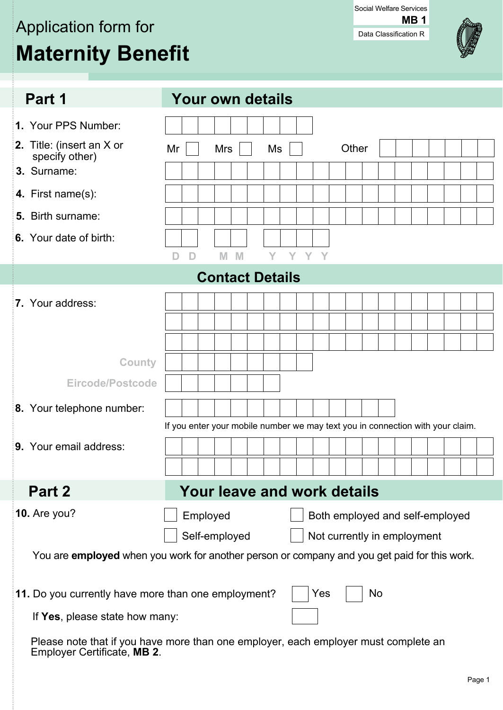# Application form for **Maternity Benefit**

Data Classification R Social Welfare Services **MB 1**



| Part 1                                              | <b>Your own details</b>                                                                      |
|-----------------------------------------------------|----------------------------------------------------------------------------------------------|
|                                                     |                                                                                              |
| 1. Your PPS Number:                                 |                                                                                              |
| 2. Title: (insert an X or<br>specify other)         | Other<br>Ms<br>Mr<br><b>Mrs</b>                                                              |
| 3. Surname:                                         |                                                                                              |
| 4. First name(s):                                   |                                                                                              |
| Birth surname:<br>5.                                |                                                                                              |
| 6. Your date of birth:                              |                                                                                              |
|                                                     | Y Y Y<br>D                                                                                   |
|                                                     | <b>Contact Details</b>                                                                       |
| 7. Your address:                                    |                                                                                              |
|                                                     |                                                                                              |
|                                                     |                                                                                              |
| <b>County</b>                                       |                                                                                              |
| <b>Eircode/Postcode</b>                             |                                                                                              |
|                                                     |                                                                                              |
| 8. Your telephone number:                           |                                                                                              |
|                                                     | If you enter your mobile number we may text you in connection with your claim.               |
| 9. Your email address:                              |                                                                                              |
|                                                     |                                                                                              |
| Part 2                                              | Your leave and work details                                                                  |
| <b>10.</b> Are you?                                 | Employed<br>Both employed and self-employed                                                  |
|                                                     | Self-employed<br>Not currently in employment                                                 |
|                                                     | You are employed when you work for another person or company and you get paid for this work. |
| 11. Do you currently have more than one employment? | Yes<br>No                                                                                    |
| If Yes, please state how many:                      |                                                                                              |
| Employer Certificate, MB 2.                         | Please note that if you have more than one employer, each employer must complete an          |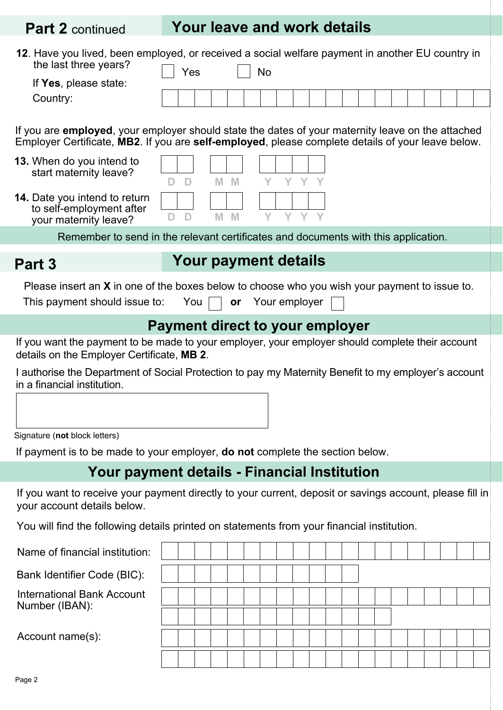# **Part 2** continued **Your leave and work details**

| 12. Have you lived, been employed, or received a social welfare payment in another EU country in<br>the last three years?<br>If Yes, please state:<br>Country:<br>If you are <b>employed</b> , your employer should state the dates of your maternity leave on the attached<br>Employer Certificate, MB2. If you are self-employed, please complete details of your leave below.<br>13. When do you intend to<br>start maternity leave?<br><b>14.</b> Date you intend to return<br>to self-employment after<br>your maternity leave? | Yes<br>$\mathbb{D}$<br>D<br>D<br>D | M M<br>$M$ M | <b>No</b><br>Y | Y Y Y Y<br>Y |  |  |  |  |  |  |  |  |  |  |
|--------------------------------------------------------------------------------------------------------------------------------------------------------------------------------------------------------------------------------------------------------------------------------------------------------------------------------------------------------------------------------------------------------------------------------------------------------------------------------------------------------------------------------------|------------------------------------|--------------|----------------|--------------|--|--|--|--|--|--|--|--|--|--|
| Remember to send in the relevant certificates and documents with this application.                                                                                                                                                                                                                                                                                                                                                                                                                                                   |                                    |              |                |              |  |  |  |  |  |  |  |  |  |  |
| Part 3                                                                                                                                                                                                                                                                                                                                                                                                                                                                                                                               |                                    |              |                |              |  |  |  |  |  |  |  |  |  |  |
| Your payment details<br>Please insert an $X$ in one of the boxes below to choose who you wish your payment to issue to.<br>This payment should issue to: You<br>Your employer<br>or                                                                                                                                                                                                                                                                                                                                                  |                                    |              |                |              |  |  |  |  |  |  |  |  |  |  |
| <b>Payment direct to your employer</b>                                                                                                                                                                                                                                                                                                                                                                                                                                                                                               |                                    |              |                |              |  |  |  |  |  |  |  |  |  |  |
| If you want the payment to be made to your employer, your employer should complete their account<br>details on the Employer Certificate, MB 2.<br>I authorise the Department of Social Protection to pay my Maternity Benefit to my employer's account<br>in a financial institution.                                                                                                                                                                                                                                                |                                    |              |                |              |  |  |  |  |  |  |  |  |  |  |
| Signature (not block letters)                                                                                                                                                                                                                                                                                                                                                                                                                                                                                                        |                                    |              |                |              |  |  |  |  |  |  |  |  |  |  |
| If payment is to be made to your employer, <b>do not</b> complete the section below.<br>Your payment details - Financial Institution                                                                                                                                                                                                                                                                                                                                                                                                 |                                    |              |                |              |  |  |  |  |  |  |  |  |  |  |
| If you want to receive your payment directly to your current, deposit or savings account, please fill in<br>your account details below.<br>You will find the following details printed on statements from your financial institution.                                                                                                                                                                                                                                                                                                |                                    |              |                |              |  |  |  |  |  |  |  |  |  |  |
| Name of financial institution:                                                                                                                                                                                                                                                                                                                                                                                                                                                                                                       |                                    |              |                |              |  |  |  |  |  |  |  |  |  |  |
| Bank Identifier Code (BIC):                                                                                                                                                                                                                                                                                                                                                                                                                                                                                                          |                                    |              |                |              |  |  |  |  |  |  |  |  |  |  |
| <b>International Bank Account</b><br>Number (IBAN):<br>Account name(s):                                                                                                                                                                                                                                                                                                                                                                                                                                                              |                                    |              |                |              |  |  |  |  |  |  |  |  |  |  |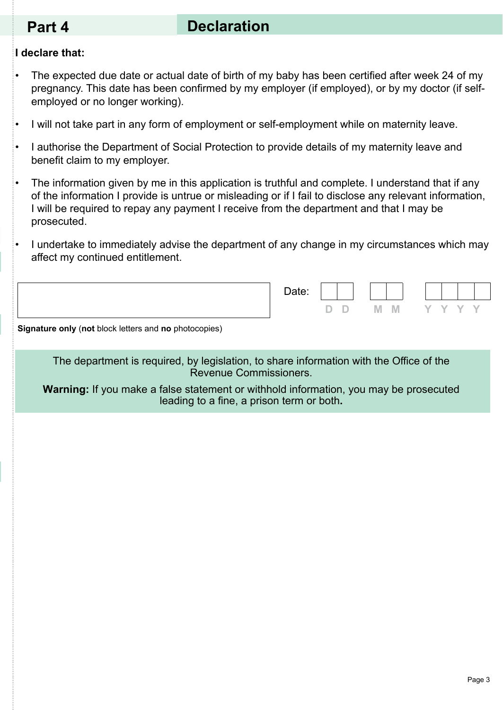# **Part 4 Declaration**

#### **I declare that:**

- The expected due date or actual date of birth of my baby has been certified after week 24 of my pregnancy. This date has been confirmed by my employer (if employed), or by my doctor (if selfemployed or no longer working).
- I will not take part in any form of employment or self-employment while on maternity leave.
- I authorise the Department of Social Protection to provide details of my maternity leave and benefit claim to my employer.
- The information given by me in this application is truthful and complete. I understand that if any of the information I provide is untrue or misleading or if I fail to disclose any relevant information, I will be required to repay any payment I receive from the department and that I may be prosecuted.
- I undertake to immediately advise the department of any change in my circumstances which may affect my continued entitlement.

| Date: |              |         |     |  |  |
|-------|--------------|---------|-----|--|--|
|       | $\mathbf{D}$ | $M$ $M$ | YYY |  |  |

**Signature only** (**not** block letters and **no** photocopies)

The department is required, by legislation, to share information with the Office of the Revenue Commissioners.

**Warning:** If you make a false statement or withhold information, you may be prosecuted leading to a fine, a prison term or both**.**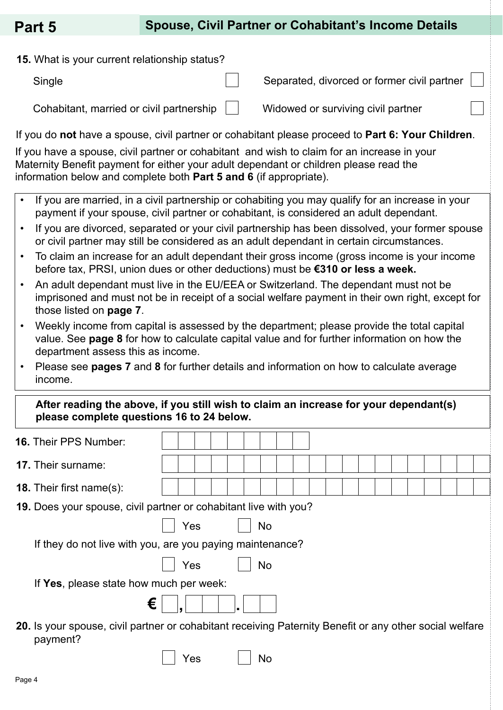**15.** What is your current relationship status?

Single

Cohabitant, married or civil partnership

Widowed or surviving civil partner

Separated, divorced or former civil partner

If you do **not** have a spouse, civil partner or cohabitant please proceed to **Part 6: Your Children**.

If you have a spouse, civil partner or cohabitant and wish to claim for an increase in your Maternity Benefit payment for either your adult dependant or children please read the information below and complete both **Part 5 and 6** (if appropriate).

- If you are married, in a civil partnership or cohabiting you may qualify for an increase in your payment if your spouse, civil partner or cohabitant, is considered an adult dependant.
- If you are divorced, separated or your civil partnership has been dissolved, your former spouse or civil partner may still be considered as an adult dependant in certain circumstances.
- To claim an increase for an adult dependant their gross income (gross income is your income before tax, PRSI, union dues or other deductions) must be **€310 or less a week.**
- An adult dependant must live in the EU/EEA or Switzerland. The dependant must not be imprisoned and must not be in receipt of a social welfare payment in their own right, except for those listed on **page 7**.
- Weekly income from capital is assessed by the department; please provide the total capital value. See **page 8** for how to calculate capital value and for further information on how the department assess this as income.
- Please see **pages 7** and **8** for further details and information on how to calculate average income.

| After reading the above, if you still wish to claim an increase for your dependant(s) |
|---------------------------------------------------------------------------------------|
| please complete questions 16 to 24 below.                                             |

| <b>16. Their PPS Number:</b>                                                                                        |     |  |           |  |  |  |  |  |  |
|---------------------------------------------------------------------------------------------------------------------|-----|--|-----------|--|--|--|--|--|--|
| <b>17.</b> Their surname:                                                                                           |     |  |           |  |  |  |  |  |  |
| <b>18.</b> Their first name(s):                                                                                     |     |  |           |  |  |  |  |  |  |
| 19. Does your spouse, civil partner or cohabitant live with you?                                                    |     |  |           |  |  |  |  |  |  |
|                                                                                                                     | Yes |  | <b>No</b> |  |  |  |  |  |  |
| If they do not live with you, are you paying maintenance?                                                           |     |  |           |  |  |  |  |  |  |
|                                                                                                                     | Yes |  | <b>No</b> |  |  |  |  |  |  |
| If Yes, please state how much per week:                                                                             |     |  |           |  |  |  |  |  |  |
| €                                                                                                                   |     |  |           |  |  |  |  |  |  |
| 20. Is your spouse, civil partner or cohabitant receiving Paternity Benefit or any other social welfare<br>payment? |     |  |           |  |  |  |  |  |  |

Yes II No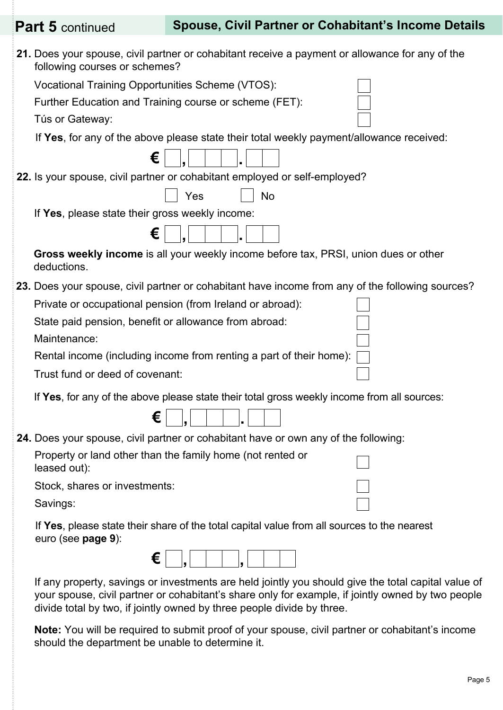| <b>Part 5</b> continued                                               | <b>Spouse, Civil Partner or Cohabitant's Income Details</b>                                                                                                                                                                                                                        |
|-----------------------------------------------------------------------|------------------------------------------------------------------------------------------------------------------------------------------------------------------------------------------------------------------------------------------------------------------------------------|
| following courses or schemes?                                         | 21. Does your spouse, civil partner or cohabitant receive a payment or allowance for any of the                                                                                                                                                                                    |
| Vocational Training Opportunities Scheme (VTOS):                      |                                                                                                                                                                                                                                                                                    |
| Further Education and Training course or scheme (FET):                |                                                                                                                                                                                                                                                                                    |
| Tús or Gateway:                                                       |                                                                                                                                                                                                                                                                                    |
|                                                                       | If Yes, for any of the above please state their total weekly payment/allowance received:                                                                                                                                                                                           |
| €                                                                     |                                                                                                                                                                                                                                                                                    |
|                                                                       | 22. Is your spouse, civil partner or cohabitant employed or self-employed?                                                                                                                                                                                                         |
|                                                                       | Yes<br>No                                                                                                                                                                                                                                                                          |
| If Yes, please state their gross weekly income:                       |                                                                                                                                                                                                                                                                                    |
| €                                                                     |                                                                                                                                                                                                                                                                                    |
| deductions.                                                           | Gross weekly income is all your weekly income before tax, PRSI, union dues or other                                                                                                                                                                                                |
|                                                                       | 23. Does your spouse, civil partner or cohabitant have income from any of the following sources?                                                                                                                                                                                   |
| Private or occupational pension (from Ireland or abroad):             |                                                                                                                                                                                                                                                                                    |
| State paid pension, benefit or allowance from abroad:<br>Maintenance: |                                                                                                                                                                                                                                                                                    |
|                                                                       | Rental income (including income from renting a part of their home):                                                                                                                                                                                                                |
| Trust fund or deed of covenant:                                       |                                                                                                                                                                                                                                                                                    |
|                                                                       | If Yes, for any of the above please state their total gross weekly income from all sources:                                                                                                                                                                                        |
| c<br>c                                                                |                                                                                                                                                                                                                                                                                    |
|                                                                       | 24. Does your spouse, civil partner or cohabitant have or own any of the following:                                                                                                                                                                                                |
| leased out):                                                          | Property or land other than the family home (not rented or                                                                                                                                                                                                                         |
| Stock, shares or investments:                                         |                                                                                                                                                                                                                                                                                    |
| Savings:                                                              |                                                                                                                                                                                                                                                                                    |
| euro (see page 9):                                                    | If Yes, please state their share of the total capital value from all sources to the nearest                                                                                                                                                                                        |
| €                                                                     |                                                                                                                                                                                                                                                                                    |
|                                                                       | If any property, savings or investments are held jointly you should give the total capital value of<br>your spouse, civil partner or cohabitant's share only for example, if jointly owned by two people<br>divide total by two, if jointly owned by three people divide by three. |

**Note:** You will be required to submit proof of your spouse, civil partner or cohabitant's income should the department be unable to determine it.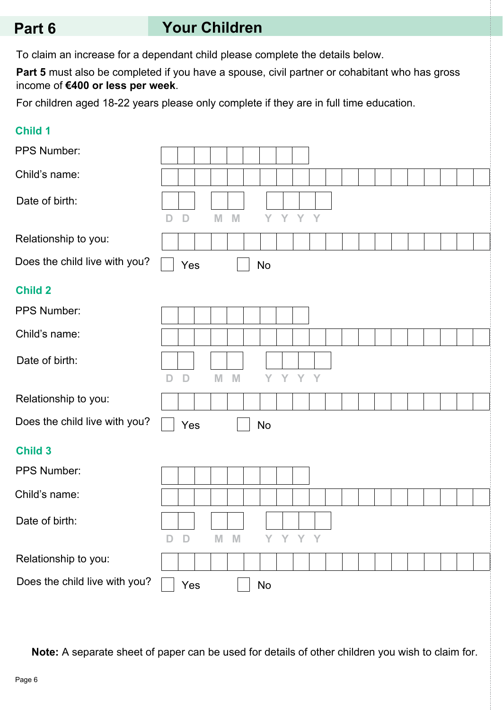# **Part 6 Your Children**

To claim an increase for a dependant child please complete the details below.

**Part 5** must also be completed if you have a spouse, civil partner or cohabitant who has gross income of **€400 or less per week**.

For children aged 18-22 years please only complete if they are in full time education.

#### **Child 1**

| PPS Number:                   |              |              |   |   |    |   |     |   |  |  |  |  |  |
|-------------------------------|--------------|--------------|---|---|----|---|-----|---|--|--|--|--|--|
| Child's name:                 |              |              |   |   |    |   |     |   |  |  |  |  |  |
| Date of birth:                | D            | D            | M | M | Y  | Y | Y   | Y |  |  |  |  |  |
| Relationship to you:          |              |              |   |   |    |   |     |   |  |  |  |  |  |
| Does the child live with you? |              | Yes          |   |   | No |   |     |   |  |  |  |  |  |
| <b>Child 2</b>                |              |              |   |   |    |   |     |   |  |  |  |  |  |
| PPS Number:                   |              |              |   |   |    |   |     |   |  |  |  |  |  |
| Child's name:                 |              |              |   |   |    |   |     |   |  |  |  |  |  |
| Date of birth:                | D            | D            | M | M | Y  | Y | Y   | Y |  |  |  |  |  |
| Relationship to you:          |              |              |   |   |    |   |     |   |  |  |  |  |  |
| Does the child live with you? |              | Yes          |   |   | No |   |     |   |  |  |  |  |  |
| <b>Child 3</b>                |              |              |   |   |    |   |     |   |  |  |  |  |  |
| PPS Number:                   |              |              |   |   |    |   |     |   |  |  |  |  |  |
| Child's name:                 |              |              |   |   |    |   |     |   |  |  |  |  |  |
| Date of birth:                | $\mathsf{D}$ | $\mathbb{D}$ | M | M | Y  | Y | Y Y |   |  |  |  |  |  |
| Relationship to you:          |              |              |   |   |    |   |     |   |  |  |  |  |  |
| Does the child live with you? |              | Yes          |   |   | No |   |     |   |  |  |  |  |  |

**Note:** A separate sheet of paper can be used for details of other children you wish to claim for.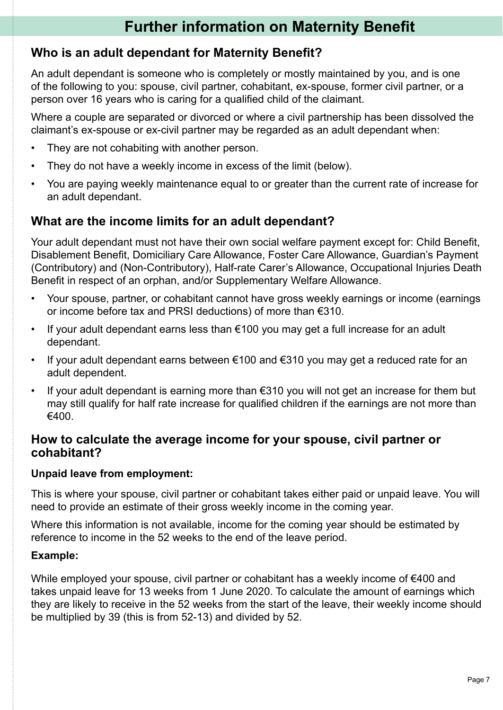# **Further information on Maternity Benefit**

### **Who is an adult dependant for Maternity Benefit?**

An adult dependant is someone who is completely or mostly maintained by you, and is one of the following to you: spouse, civil partner, cohabitant, ex-spouse, former civil partner, or a person over 16 years who is caring for a qualified child of the claimant.

Where a couple are separated or divorced or where a civil partnership has been dissolved the claimant's ex-spouse or ex-civil partner may be regarded as an adult dependant when:

- They are not cohabiting with another person.
- They do not have a weekly income in excess of the limit (below).
- You are paying weekly maintenance equal to or greater than the current rate of increase for an adult dependant.

### **What are the income limits for an adult dependant?**

Your adult dependant must not have their own social welfare payment except for: Child Benefit, Disablement Benefit, Domiciliary Care Allowance, Foster Care Allowance, Guardian's Payment (Contributory) and (Non-Contributory), Half-rate Carer's Allowance, Occupational Injuries Death Benefit in respect of an orphan, and/or Supplementary Welfare Allowance.

- Your spouse, partner, or cohabitant cannot have gross weekly earnings or income (earnings or income before tax and PRSI deductions) of more than €310.
- If your adult dependant earns less than  $€100$  you may get a full increase for an adult dependant.
- If your adult dependant earns between  $\epsilon$ 100 and  $\epsilon$ 310 you may get a reduced rate for an adult dependent.
- If your adult dependant is earning more than  $€310$  you will not get an increase for them but may still qualify for half rate increase for qualified children if the earnings are not more than €400.

#### **How to calculate the average income for your spouse, civil partner or cohabitant?**

#### **Unpaid leave from employment:**

This is where your spouse, civil partner or cohabitant takes either paid or unpaid leave. You will need to provide an estimate of their gross weekly income in the coming year.

Where this information is not available, income for the coming year should be estimated by reference to income in the 52 weeks to the end of the leave period.

#### **Example:**

While employed your spouse, civil partner or cohabitant has a weekly income of €400 and takes unpaid leave for 13 weeks from 1 June 2020. To calculate the amount of earnings which they are likely to receive in the 52 weeks from the start of the leave, their weekly income should be multiplied by 39 (this is from 52-13) and divided by 52.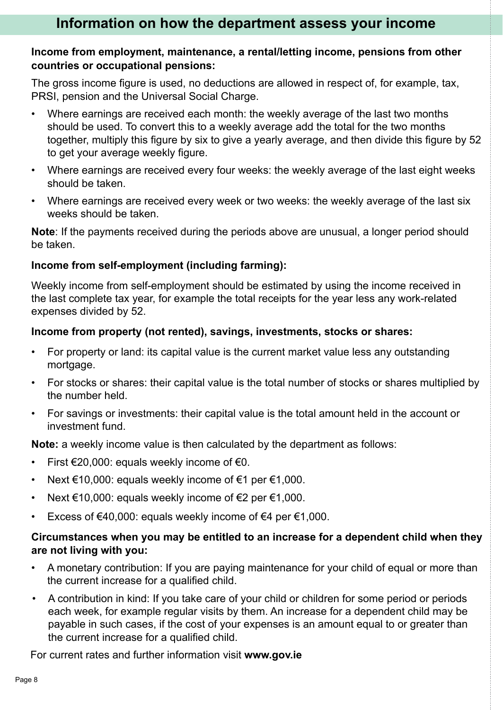# **Information on how the department assess your income**

#### **Income from employment, maintenance, a rental/letting income, pensions from other countries or occupational pensions:**

The gross income figure is used, no deductions are allowed in respect of, for example, tax, PRSI, pension and the Universal Social Charge.

- Where earnings are received each month: the weekly average of the last two months should be used. To convert this to a weekly average add the total for the two months together, multiply this figure by six to give a yearly average, and then divide this figure by 52 to get your average weekly figure.
- Where earnings are received every four weeks: the weekly average of the last eight weeks should be taken.
- Where earnings are received every week or two weeks: the weekly average of the last six weeks should be taken.

**Note**: If the payments received during the periods above are unusual, a longer period should be taken.

#### **Income from self-employment (including farming):**

Weekly income from self-employment should be estimated by using the income received in the last complete tax year, for example the total receipts for the year less any work-related expenses divided by 52.

#### **Income from property (not rented), savings, investments, stocks or shares:**

- For property or land: its capital value is the current market value less any outstanding mortgage.
- For stocks or shares: their capital value is the total number of stocks or shares multiplied by the number held.
- For savings or investments: their capital value is the total amount held in the account or investment fund.

**Note:** a weekly income value is then calculated by the department as follows:

- First  $€20,000$ : equals weekly income of  $€0$ .
- Next €10,000: equals weekly income of €1 per €1,000.
- Next  $\epsilon$ 10,000: equals weekly income of  $\epsilon$ 2 per  $\epsilon$ 1,000.
- Excess of €40,000: equals weekly income of €4 per €1,000.

#### **Circumstances when you may be entitled to an increase for a dependent child when they are not living with you:**

- A monetary contribution: If you are paying maintenance for your child of equal or more than the current increase for a qualified child.
- A contribution in kind: If you take care of your child or children for some period or periods each week, for example regular visits by them. An increase for a dependent child may be payable in such cases, if the cost of your expenses is an amount equal to or greater than the current increase for a qualified child.

For current rates and further information visit **www.gov.ie**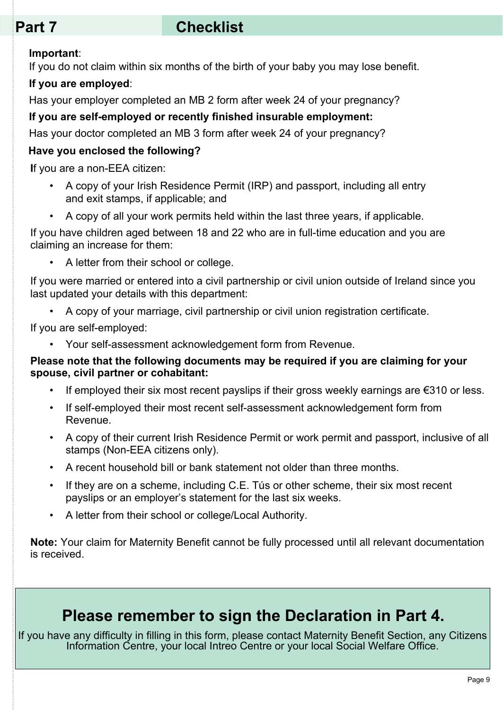# Part 7 Checklist

#### **Important**:

If you do not claim within six months of the birth of your baby you may lose benefit.

#### **If you are employed**:

Has your employer completed an MB 2 form after week 24 of your pregnancy?

#### **If you are self-employed or recently finished insurable employment:**

Has your doctor completed an MB 3 form after week 24 of your pregnancy?

#### **Have you enclosed the following?**

**I**f you are a non-EEA citizen:

- A copy of your Irish Residence Permit (IRP) and passport, including all entry and exit stamps, if applicable; and
- A copy of all your work permits held within the last three years, if applicable.

If you have children aged between 18 and 22 who are in full-time education and you are claiming an increase for them:

• A letter from their school or college.

If you were married or entered into a civil partnership or civil union outside of Ireland since you last updated your details with this department:

• A copy of your marriage, civil partnership or civil union registration certificate.

If you are self-employed:

• Your self-assessment acknowledgement form from Revenue.

#### **Please note that the following documents may be required if you are claiming for your spouse, civil partner or cohabitant:**

- If employed their six most recent payslips if their gross weekly earnings are  $\epsilon$ 310 or less.
- If self-employed their most recent self-assessment acknowledgement form from Revenue.
- A copy of their current Irish Residence Permit or work permit and passport, inclusive of all stamps (Non-EEA citizens only).
- A recent household bill or bank statement not older than three months.
- If they are on a scheme, including C.E. Tús or other scheme, their six most recent payslips or an employer's statement for the last six weeks.
- A letter from their school or college/Local Authority.

**Note:** Your claim for Maternity Benefit cannot be fully processed until all relevant documentation is received.

# **Please remember to sign the Declaration in Part 4.**

If you have any difficulty in filling in this form, please contact Maternity Benefit Section, any Citizens Information Centre, your local Intreo Centre or your local Social Welfare Office.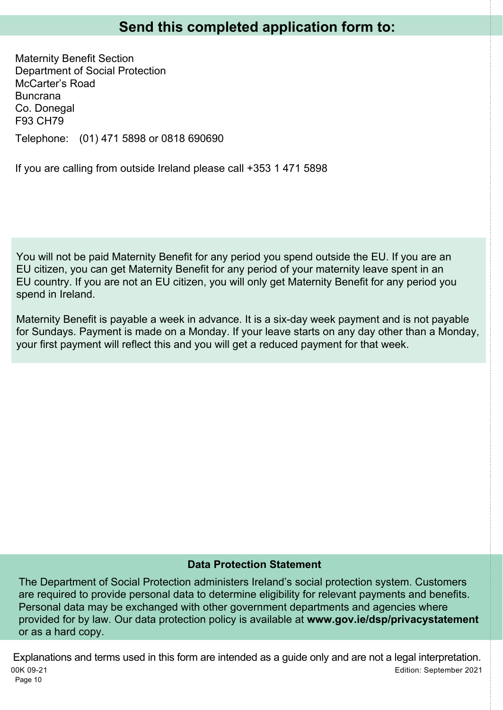Maternity Benefit Section Department of Social Protection McCarter's Road Buncrana Co. Donegal F93 CH79 Telephone: (01) 471 5898 or 0818 690690

If you are calling from outside Ireland please call +353 1 471 5898

You will not be paid Maternity Benefit for any period you spend outside the EU. If you are an EU citizen, you can get Maternity Benefit for any period of your maternity leave spent in an EU country. If you are not an EU citizen, you will only get Maternity Benefit for any period you spend in Ireland.

Maternity Benefit is payable a week in advance. It is a six-day week payment and is not payable for Sundays. Payment is made on a Monday. If your leave starts on any day other than a Monday, your first payment will reflect this and you will get a reduced payment for that week.

#### **Data Protection Statement**

The Department of Social Protection administers Ireland's social protection system. Customers are required to provide personal data to determine eligibility for relevant payments and benefits. Personal data may be exchanged with other government departments and agencies where provided for by law. Our data protection policy is available at **www.gov.ie/dsp/privacystatement** or as a hard copy.

Page 10 00K 09-21 Edition: September 2021 Explanations and terms used in this form are intended as a guide only and are not a legal interpretation.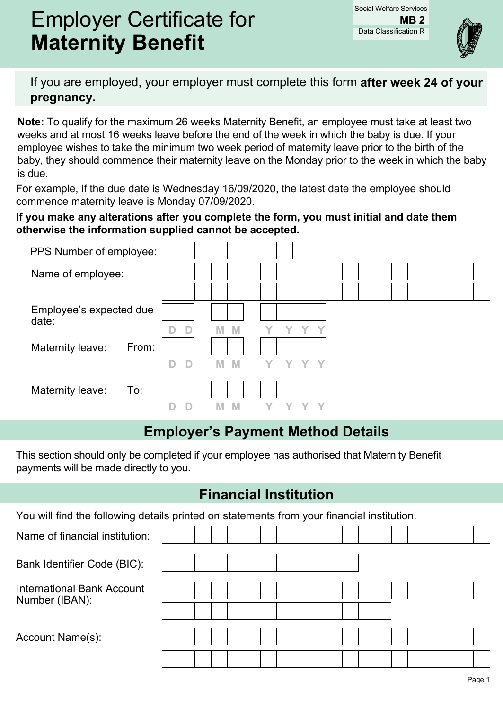# Employer Certificate for **Maternity Benefit**

Data Classification R Social Welfare Services **MB 2**



If you are employed, your employer must complete this form **after week 24 of your pregnancy.**

**Note:** To qualify for the maximum 26 weeks Maternity Benefit, an employee must take at least two weeks and at most 16 weeks leave before the end of the week in which the baby is due. If your employee wishes to take the minimum two week period of maternity leave prior to the birth of the baby, they should commence their maternity leave on the Monday prior to the week in which the baby is due.

For example, if the due date is Wednesday 16/09/2020, the latest date the employee should commence maternity leave is Monday 07/09/2020.

#### **If you make any alterations after you complete the form, you must initial and date them otherwise the information supplied cannot be accepted.**

| PPS Number of employee:          |        |        |      |  |  |  |
|----------------------------------|--------|--------|------|--|--|--|
| Name of employee:                |        |        |      |  |  |  |
|                                  |        |        |      |  |  |  |
| Employee's expected due<br>date: |        |        |      |  |  |  |
|                                  | D      | M      |      |  |  |  |
| Maternity leave:<br>From:        |        |        |      |  |  |  |
|                                  | D<br>D | M<br>M | YYYY |  |  |  |
| Maternity leave:<br>To:          |        |        |      |  |  |  |
|                                  |        | M      |      |  |  |  |

# **Employer's Payment Method Details**

This section should only be completed if your employee has authorised that Maternity Benefit payments will be made directly to you.

# **Financial Institution**

| You will find the following details printed on statements from your financial institution. |  |  |  |  |  |  |  |  |  |  |
|--------------------------------------------------------------------------------------------|--|--|--|--|--|--|--|--|--|--|
| Name of financial institution:                                                             |  |  |  |  |  |  |  |  |  |  |
| Bank Identifier Code (BIC):                                                                |  |  |  |  |  |  |  |  |  |  |
| International Bank Account<br>Number (IBAN):                                               |  |  |  |  |  |  |  |  |  |  |
|                                                                                            |  |  |  |  |  |  |  |  |  |  |
| Account Name(s):                                                                           |  |  |  |  |  |  |  |  |  |  |
|                                                                                            |  |  |  |  |  |  |  |  |  |  |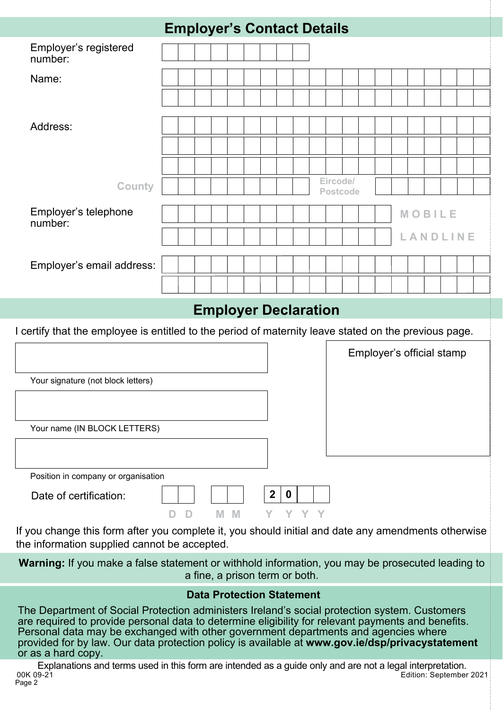|                                                                                                                                                     |  | <b>Employer's Contact Details</b> |                             |   |  |                  |          |       |  |          |  |                           |  |  |  |  |  |  |
|-----------------------------------------------------------------------------------------------------------------------------------------------------|--|-----------------------------------|-----------------------------|---|--|------------------|----------|-------|--|----------|--|---------------------------|--|--|--|--|--|--|
| Employer's registered<br>number:                                                                                                                    |  |                                   |                             |   |  |                  |          |       |  |          |  |                           |  |  |  |  |  |  |
| Name:                                                                                                                                               |  |                                   |                             |   |  |                  |          |       |  |          |  |                           |  |  |  |  |  |  |
|                                                                                                                                                     |  |                                   |                             |   |  |                  |          |       |  |          |  |                           |  |  |  |  |  |  |
| Address:                                                                                                                                            |  |                                   |                             |   |  |                  |          |       |  |          |  |                           |  |  |  |  |  |  |
|                                                                                                                                                     |  |                                   |                             |   |  |                  |          |       |  |          |  |                           |  |  |  |  |  |  |
|                                                                                                                                                     |  |                                   |                             |   |  |                  |          |       |  | Eircode/ |  |                           |  |  |  |  |  |  |
| <b>County</b><br><b>Postcode</b><br>Employer's telephone<br>MOBILE                                                                                  |  |                                   |                             |   |  |                  |          |       |  |          |  |                           |  |  |  |  |  |  |
| number:<br>LANDLINE                                                                                                                                 |  |                                   |                             |   |  |                  |          |       |  |          |  |                           |  |  |  |  |  |  |
|                                                                                                                                                     |  |                                   |                             |   |  |                  |          |       |  |          |  |                           |  |  |  |  |  |  |
| Employer's email address:                                                                                                                           |  |                                   |                             |   |  |                  |          |       |  |          |  |                           |  |  |  |  |  |  |
|                                                                                                                                                     |  |                                   |                             |   |  |                  |          |       |  |          |  |                           |  |  |  |  |  |  |
|                                                                                                                                                     |  |                                   | <b>Employer Declaration</b> |   |  |                  |          |       |  |          |  |                           |  |  |  |  |  |  |
| I certify that the employee is entitled to the period of maternity leave stated on the previous page.                                               |  |                                   |                             |   |  |                  |          |       |  |          |  |                           |  |  |  |  |  |  |
|                                                                                                                                                     |  |                                   |                             |   |  |                  |          |       |  |          |  | Employer's official stamp |  |  |  |  |  |  |
| Your signature (not block letters)                                                                                                                  |  |                                   |                             |   |  |                  |          |       |  |          |  |                           |  |  |  |  |  |  |
|                                                                                                                                                     |  |                                   |                             |   |  |                  |          |       |  |          |  |                           |  |  |  |  |  |  |
| Your name (IN BLOCK LETTERS)                                                                                                                        |  |                                   |                             |   |  |                  |          |       |  |          |  |                           |  |  |  |  |  |  |
|                                                                                                                                                     |  |                                   |                             |   |  |                  |          |       |  |          |  |                           |  |  |  |  |  |  |
| Position in company or organisation                                                                                                                 |  |                                   |                             |   |  |                  |          |       |  |          |  |                           |  |  |  |  |  |  |
| Date of certification:                                                                                                                              |  |                                   |                             |   |  | $\boldsymbol{2}$ | $\bf{0}$ |       |  |          |  |                           |  |  |  |  |  |  |
| If you change this form after you complete it, you should initial and date any amendments otherwise<br>the information supplied cannot be accepted. |  | D                                 | M                           | M |  |                  |          | Y Y Y |  |          |  |                           |  |  |  |  |  |  |
| Warning: If you make a false statement or withhold information, you may be prosecuted leading to                                                    |  | a fine, a prison term or both.    |                             |   |  |                  |          |       |  |          |  |                           |  |  |  |  |  |  |

#### **Data Protection Statement**

The Department of Social Protection administers Ireland's social protection system. Customers are required to provide personal data to determine eligibility for relevant payments and benefits. Personal data may be exchanged with other government departments and agencies where provided for by law. Our data protection policy is available at **www.gov.ie/dsp/privacystatement** or as a hard copy.

Page 2 00K 09-21 Edition: September 2021 Explanations and terms used in this form are intended as a guide only and are not a legal interpretation.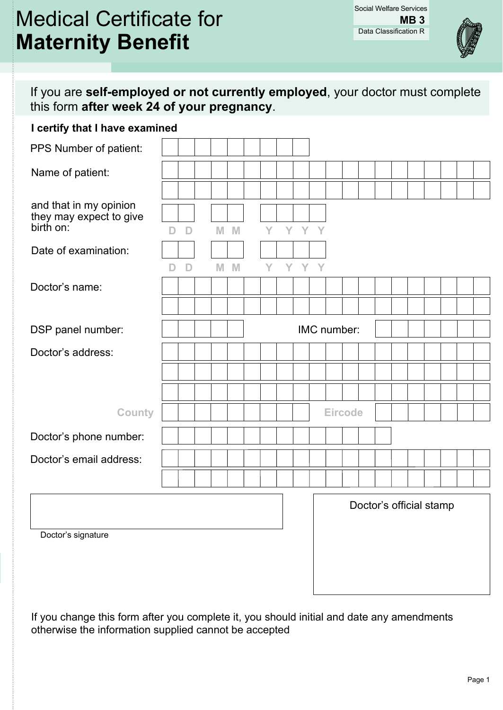# Medical Certificate for **Maternity Benefit**



If you are **self-employed or not currently employed**, your doctor must complete this form **after week 24 of your pregnancy**.

#### **I certify that I have examined**

| PPS Number of patient:                            |        |              |  |         |   |     |       |  |             |  |                         |  |  |  |
|---------------------------------------------------|--------|--------------|--|---------|---|-----|-------|--|-------------|--|-------------------------|--|--|--|
| Name of patient:                                  |        |              |  |         |   |     |       |  |             |  |                         |  |  |  |
|                                                   |        |              |  |         |   |     |       |  |             |  |                         |  |  |  |
| and that in my opinion<br>they may expect to give |        |              |  |         |   |     |       |  |             |  |                         |  |  |  |
| birth on:                                         | D      | $\mathsf{D}$ |  | M M     | Y |     | Y Y Y |  |             |  |                         |  |  |  |
| Date of examination:                              |        |              |  |         |   |     |       |  |             |  |                         |  |  |  |
|                                                   | $\Box$ | $\Box$       |  | $M$ $M$ | Y | YYY |       |  |             |  |                         |  |  |  |
| Doctor's name:                                    |        |              |  |         |   |     |       |  |             |  |                         |  |  |  |
|                                                   |        |              |  |         |   |     |       |  |             |  |                         |  |  |  |
| DSP panel number:                                 |        |              |  |         |   |     |       |  | IMC number: |  |                         |  |  |  |
| Doctor's address:                                 |        |              |  |         |   |     |       |  |             |  |                         |  |  |  |
|                                                   |        |              |  |         |   |     |       |  |             |  |                         |  |  |  |
|                                                   |        |              |  |         |   |     |       |  |             |  |                         |  |  |  |
| County                                            |        |              |  |         |   |     |       |  | Eircode     |  |                         |  |  |  |
| Doctor's phone number:                            |        |              |  |         |   |     |       |  |             |  |                         |  |  |  |
| Doctor's email address:                           |        |              |  |         |   |     |       |  |             |  |                         |  |  |  |
|                                                   |        |              |  |         |   |     |       |  |             |  |                         |  |  |  |
|                                                   |        |              |  |         |   |     |       |  |             |  |                         |  |  |  |
|                                                   |        |              |  |         |   |     |       |  |             |  | Doctor's official stamp |  |  |  |
| Doctor's signature                                |        |              |  |         |   |     |       |  |             |  |                         |  |  |  |
|                                                   |        |              |  |         |   |     |       |  |             |  |                         |  |  |  |
|                                                   |        |              |  |         |   |     |       |  |             |  |                         |  |  |  |
|                                                   |        |              |  |         |   |     |       |  |             |  |                         |  |  |  |

If you change this form after you complete it, you should initial and date any amendments otherwise the information supplied cannot be accepted